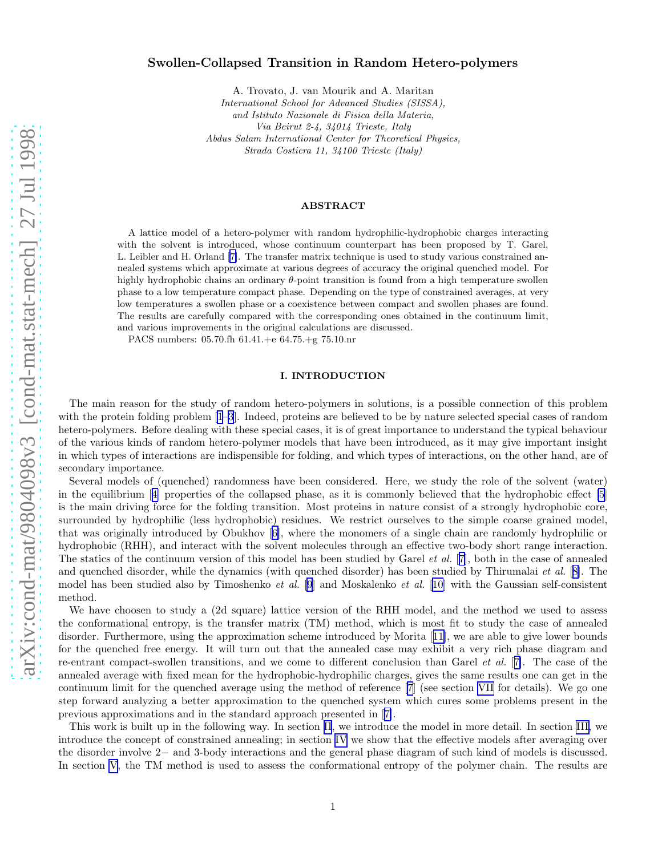# Swollen-Collapsed Transition in Random Hetero-polymers

A. Trovato, J. van Mourik and A. Maritan *International School for Advanced Studies (SISSA), and Istituto Nazionale di Fisica della Materia,*

*Via Beirut 2-4, 34014 Trieste, Italy*

*Abdus Salam International Center for Theoretical Physics,*

*Strada Costiera 11, 34100 Trieste (Italy)*

### ABSTRACT

A lattice model of a hetero-polymer with random hydrophilic-hydrophobic charges interacting with the solvent is introduced, whose continuum counterpart has been proposed by T. Garel, L. Leibler and H. Orland [\[7\]](#page-10-0). The transfer matrix technique is used to study various constrained annealed systems which approximate at various degrees of accuracy the original quenched model. For highly hydrophobic chains an ordinary  $\theta$ -point transition is found from a high temperature swollen phase to a low temperature compact phase. Depending on the type of constrained averages, at very low temperatures a swollen phase or a coexistence between compact and swollen phases are found. The results are carefully compared with the corresponding ones obtained in the continuum limit, and various improvements in the original calculations are discussed.

PACS numbers: 05.70.fh 61.41.+e 64.75.+g 75.10.nr

### I. INTRODUCTION

The main reason for the study of random hetero-polymers in solutions, is a possible connection of this problem with the protein folding problem [\[1–3](#page-10-0)]. Indeed, proteins are believed to be by nature selected special cases of random hetero-polymers. Before dealing with these special cases, it is of great importance to understand the typical behaviour of the various kinds of random hetero-polymer models that have been introduced, as it may give important insight in which types of interactions are indispensible for folding, and which types of interactions, on the other hand, are of secondary importance.

Several models of (quenched) randomness have been considered. Here, we study the role of the solvent (water) in the equilibrium[[4\]](#page-10-0) properties of the collapsed phase, as it is commonly believed that the hydrophobic effect [\[5](#page-10-0)] is the main driving force for the folding transition. Most proteins in nature consist of a strongly hydrophobic core, surrounded by hydrophilic (less hydrophobic) residues. We restrict ourselves to the simple coarse grained model, that was originally introduced by Obukhov[[6\]](#page-10-0), where the monomers of a single chain are randomly hydrophilic or hydrophobic (RHH), and interact with the solvent molecules through an effective two-body short range interaction. The statics of the continuum version of this model has been studied by Garel *et al.* [[7\]](#page-10-0), both in the case of annealed and quenched disorder, while the dynamics (with quenched disorder) has been studied by Thirumalai *et al.* [[8\]](#page-10-0). The model has been studied also by Timoshenko *et al.* [\[9](#page-10-0)] and Moskalenko *et al.* [\[10](#page-10-0)] with the Gaussian self-consistent method.

We have choosen to study a (2d square) lattice version of the RHH model, and the method we used to assess the conformational entropy, is the transfer matrix (TM) method, which is most fit to study the case of annealed disorder. Furthermore, using the approximation scheme introduced by Morita[[11\]](#page-10-0), we are able to give lower bounds for the quenched free energy. It will turn out that the annealed case may exhibit a very rich phase diagram and re-entrant compact-swollen transitions, and we come to different conclusion than Garel et al. [[7\]](#page-10-0). The case of the annealed average with fixed mean for the hydrophobic-hydrophilic charges, gives the same results one can get in the continuum limit for the quenched average using the method of reference [\[7](#page-10-0)] (see section [VII](#page-9-0) for details). We go one step forward analyzing a better approximation to the quenched system which cures some problems present in the previous approximations and in the standard approach presented in[[7\]](#page-10-0).

This work is built up in the following way. In section [II](#page-1-0), we introduce the model in more detail. In section [III,](#page-1-0) we introduce the concept of constrained annealing; in section [IV](#page-3-0) we show that the effective models after averaging over the disorder involve 2− and 3-body interactions and the general phase diagram of such kind of models is discussed. In section [V,](#page-4-0) the TM method is used to assess the conformational entropy of the polymer chain. The results are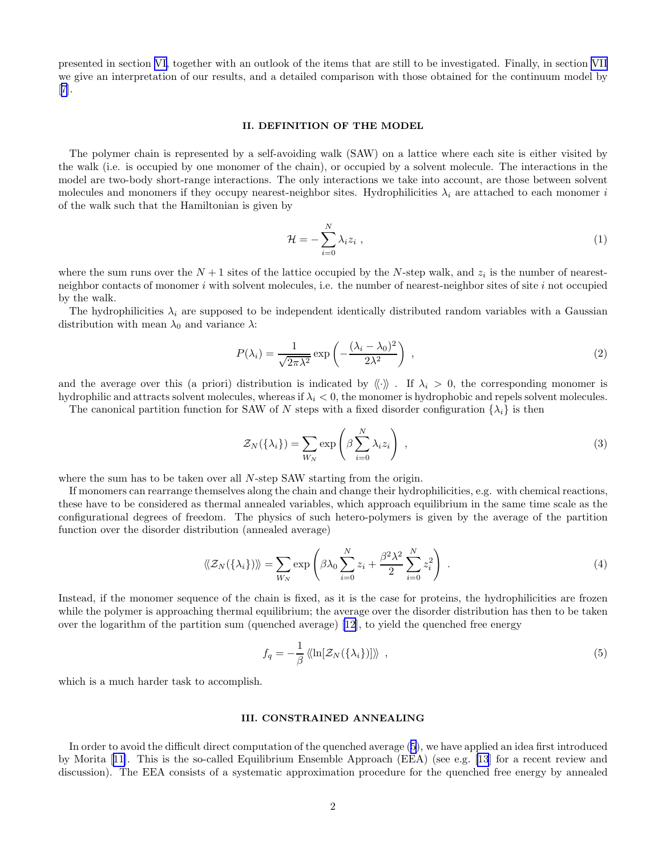<span id="page-1-0"></span>presented in section [VI,](#page-6-0) together with an outlook of the items that are still to be investigated. Finally, in section [VII](#page-9-0) we give an interpretation of our results, and a detailed comparison with those obtained for the continuum model by [[7\]](#page-10-0).

## II. DEFINITION OF THE MODEL

The polymer chain is represented by a self-avoiding walk (SAW) on a lattice where each site is either visited by the walk (i.e. is occupied by one monomer of the chain), or occupied by a solvent molecule. The interactions in the model are two-body short-range interactions. The only interactions we take into account, are those between solvent molecules and monomers if they occupy nearest-neighbor sites. Hydrophilicities  $\lambda_i$  are attached to each monomer i of the walk such that the Hamiltonian is given by

$$
\mathcal{H} = -\sum_{i=0}^{N} \lambda_i z_i , \qquad (1)
$$

where the sum runs over the  $N+1$  sites of the lattice occupied by the N-step walk, and  $z_i$  is the number of nearestneighbor contacts of monomer  $i$  with solvent molecules, i.e. the number of nearest-neighbor sites of site  $i$  not occupied by the walk.

The hydrophilicities  $\lambda_i$  are supposed to be independent identically distributed random variables with a Gaussian distribution with mean  $\lambda_0$  and variance  $\lambda$ :

$$
P(\lambda_i) = \frac{1}{\sqrt{2\pi\lambda^2}} \exp\left(-\frac{(\lambda_i - \lambda_0)^2}{2\lambda^2}\right) ,
$$
 (2)

and the average over this (a priori) distribution is indicated by  $\langle\langle\cdot\rangle\rangle$ . If  $\lambda_i > 0$ , the corresponding monomer is hydrophilic and attracts solvent molecules, whereas if  $\lambda_i < 0$ , the monomer is hydrophobic and repels solvent molecules.

The canonical partition function for SAW of N steps with a fixed disorder configuration  $\{\lambda_i\}$  is then

$$
\mathcal{Z}_N(\{\lambda_i\}) = \sum_{W_N} \exp\left(\beta \sum_{i=0}^N \lambda_i z_i\right) , \qquad (3)
$$

where the sum has to be taken over all  $N$ -step SAW starting from the origin.

If monomers can rearrange themselves along the chain and change their hydrophilicities, e.g. with chemical reactions, these have to be considered as thermal annealed variables, which approach equilibrium in the same time scale as the configurational degrees of freedom. The physics of such hetero-polymers is given by the average of the partition function over the disorder distribution (annealed average)

$$
\langle\langle \mathcal{Z}_N(\{\lambda_i\})\rangle\rangle = \sum_{W_N} \exp\left(\beta \lambda_0 \sum_{i=0}^N z_i + \frac{\beta^2 \lambda^2}{2} \sum_{i=0}^N z_i^2\right) . \tag{4}
$$

Instead, if the monomer sequence of the chain is fixed, as it is the case for proteins, the hydrophilicities are frozen while the polymer is approaching thermal equilibrium; the average over the disorder distribution has then to be taken over the logarithm of the partition sum (quenched average)[[12](#page-10-0)], to yield the quenched free energy

$$
f_q = -\frac{1}{\beta} \langle \ln[\mathcal{Z}_N(\{\lambda_i\})] \rangle \rangle \quad , \tag{5}
$$

which is a much harder task to accomplish.

### III. CONSTRAINED ANNEALING

In order to avoid the difficult direct computation of the quenched average (5), we have applied an idea first introduced by Morita[[11\]](#page-10-0). This is the so-called Equilibrium Ensemble Approach (EEA) (see e.g. [\[13](#page-10-0)] for a recent review and discussion). The EEA consists of a systematic approximation procedure for the quenched free energy by annealed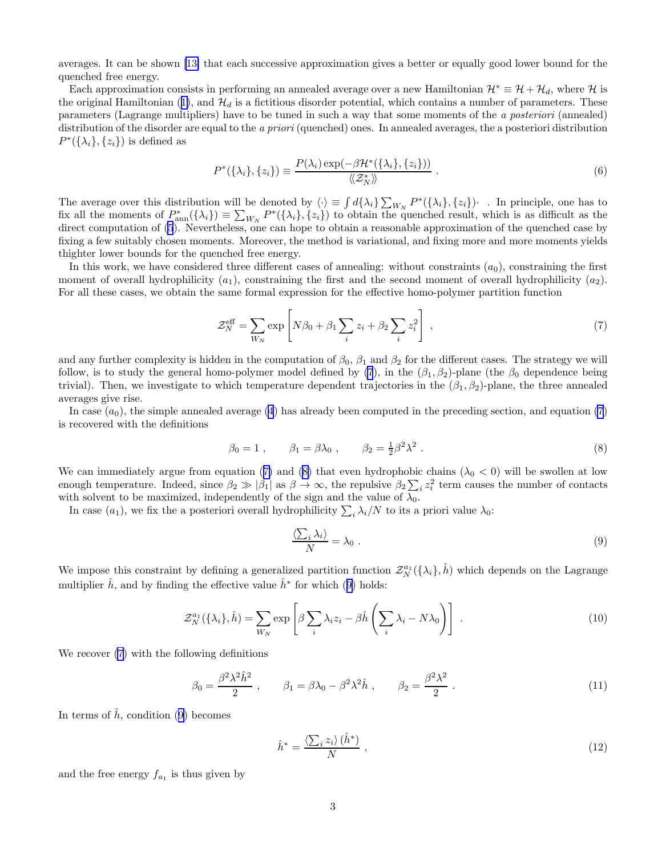<span id="page-2-0"></span>averages. It can be shown [\[13\]](#page-10-0) that each successive approximation gives a better or equally good lower bound for the quenched free energy.

Each approximation consists in performing an annealed average over a new Hamiltonian  $\mathcal{H}^* \equiv \mathcal{H} + \mathcal{H}_d$ , where  $\mathcal{H}$  is theoriginal Hamiltonian ([1\)](#page-1-0), and  $\mathcal{H}_d$  is a fictitious disorder potential, which contains a number of parameters. These parameters (Lagrange multipliers) have to be tuned in such a way that some moments of the a posteriori (annealed) distribution of the disorder are equal to the a priori (quenched) ones. In annealed averages, the a posteriori distribution  $P^*(\{\lambda_i\}, \{z_i\})$  is defined as

$$
P^*(\{\lambda_i\}, \{z_i\}) \equiv \frac{P(\lambda_i) \exp(-\beta \mathcal{H}^*(\{\lambda_i\}, \{z_i\}))}{\langle\langle Z_N^*\rangle\rangle} \ . \tag{6}
$$

The average over this distribution will be denoted by  $\langle \cdot \rangle \equiv \int d\{\lambda_i\} \sum_{W_N} P^*(\{\lambda_i\}, \{z_i\})$ . In principle, one has to fix all the moments of  $P_{\text{ann}}^*(\{\lambda_i\}) \equiv \sum_{W_N} P^*(\{\lambda_i\}, \{z_i\})$  to obtain the quenched result, which is as difficult as the direct computation of  $(5)$ . Nevertheless, one can hope to obtain a reasonable approximation of the quenched case by fixing a few suitably chosen moments. Moreover, the method is variational, and fixing more and more moments yields thighter lower bounds for the quenched free energy.

In this work, we have considered three different cases of annealing: without constraints  $(a_0)$ , constraining the first moment of overall hydrophilicity  $(a_1)$ , constraining the first and the second moment of overall hydrophilicity  $(a_2)$ . For all these cases, we obtain the same formal expression for the effective homo-polymer partition function

$$
\mathcal{Z}_N^{\text{eff}} = \sum_{W_N} \exp\left[N\beta_0 + \beta_1 \sum_i z_i + \beta_2 \sum_i z_i^2\right],\tag{7}
$$

and any further complexity is hidden in the computation of  $\beta_0$ ,  $\beta_1$  and  $\beta_2$  for the different cases. The strategy we will follow, is to study the general homo-polymer model defined by (7), in the  $(\beta_1, \beta_2)$ -plane (the  $\beta_0$  dependence being trivial). Then, we investigate to which temperature dependent trajectories in the  $(\beta_1, \beta_2)$ -plane, the three annealed averages give rise.

In case  $(a_0)$ , the simple annealed average [\(4](#page-1-0)) has already been computed in the preceding section, and equation (7) is recovered with the definitions

$$
\beta_0 = 1
$$
,  $\beta_1 = \beta \lambda_0$ ,  $\beta_2 = \frac{1}{2} \beta^2 \lambda^2$ . (8)

We can immediately argue from equation (7) and (8) that even hydrophobic chains ( $\lambda_0 < 0$ ) will be swollen at low enough temperature. Indeed, since  $\beta_2 \gg |\beta_1|$  as  $\beta \to \infty$ , the repulsive  $\beta_2 \sum_i z_i^2$  term causes the number of contacts with solvent to be maximized, independently of the sign and the value of  $\lambda_0$ .

In case  $(a_1)$ , we fix the a posteriori overall hydrophilicity  $\sum_i \lambda_i/N$  to its a priori value  $\lambda_0$ :

$$
\frac{\langle \sum_{i} \lambda_{i} \rangle}{N} = \lambda_{0} \tag{9}
$$

We impose this constraint by defining a generalized partition function  $\mathcal{Z}_N^{a_1}(\{\lambda_i\},\hat{h})$  which depends on the Lagrange multiplier  $\hat{h}$ , and by finding the effective value  $\hat{h}^*$  for which (9) holds:

$$
\mathcal{Z}_N^{a_1}(\{\lambda_i\}, \hat{h}) = \sum_{W_N} \exp\left[\beta \sum_i \lambda_i z_i - \beta \hat{h} \left(\sum_i \lambda_i - N\lambda_0\right)\right].
$$
 (10)

We recover (7) with the following definitions

$$
\beta_0 = \frac{\beta^2 \lambda^2 \hat{h}^2}{2} , \qquad \beta_1 = \beta \lambda_0 - \beta^2 \lambda^2 \hat{h} , \qquad \beta_2 = \frac{\beta^2 \lambda^2}{2} . \tag{11}
$$

In terms of  $\hat{h}$ , condition (9) becomes

$$
\hat{h}^* = \frac{\langle \sum_i z_i \rangle (\hat{h}^*)}{N} \,,\tag{12}
$$

and the free energy  $f_{a_1}$  is thus given by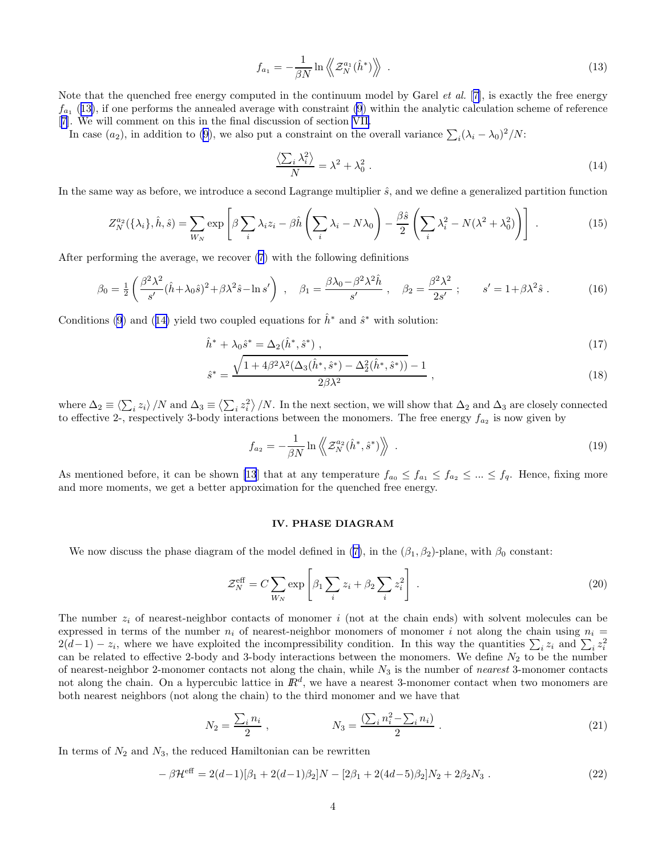$$
f_{a_1} = -\frac{1}{\beta N} \ln \left\langle \left( \mathcal{Z}_N^{a_1}(\hat{h}^*) \right) \right\rangle \tag{13}
$$

<span id="page-3-0"></span>Note that the quenched free energy computed in the continuum model by Garel *et al.* [[7\]](#page-10-0), is exactly the free energy  $f_{a_1}$  (13), if one performs the annealed average with constraint [\(9](#page-2-0)) within the analytic calculation scheme of reference [[7\]](#page-10-0). We will comment on this in the final discussion of section [VII.](#page-9-0)

In case  $(a_2)$ , in addition to [\(9](#page-2-0)), we also put a constraint on the overall variance  $\sum_i (\lambda_i - \lambda_0)^2 / N$ :

$$
\frac{\langle \sum_{i} \lambda_i^2 \rangle}{N} = \lambda^2 + \lambda_0^2 \tag{14}
$$

In the same way as before, we introduce a second Lagrange multiplier  $\hat{s}$ , and we define a generalized partition function

$$
Z_N^{a_2}(\{\lambda_i\}, \hat{h}, \hat{s}) = \sum_{W_N} \exp\left[\beta \sum_i \lambda_i z_i - \beta \hat{h} \left(\sum_i \lambda_i - N\lambda_0\right) - \frac{\beta \hat{s}}{2} \left(\sum_i \lambda_i^2 - N(\lambda^2 + \lambda_0^2)\right)\right].
$$
 (15)

After performing the average, we recover [\(7](#page-2-0)) with the following definitions

$$
\beta_0 = \frac{1}{2} \left( \frac{\beta^2 \lambda^2}{s'} (\hat{h} + \lambda_0 \hat{s})^2 + \beta \lambda^2 \hat{s} - \ln s' \right) , \quad \beta_1 = \frac{\beta \lambda_0 - \beta^2 \lambda^2 \hat{h}}{s'} , \quad \beta_2 = \frac{\beta^2 \lambda^2}{2s'} ; \quad s' = 1 + \beta \lambda^2 \hat{s} . \tag{16}
$$

Conditions [\(9](#page-2-0)) and (14) yield two coupled equations for  $\hat{h}^*$  and  $\hat{s}^*$  with solution:

$$
\hat{h}^* + \lambda_0 \hat{s}^* = \Delta_2(\hat{h}^*, \hat{s}^*) \tag{17}
$$

$$
\hat{s}^* = \frac{\sqrt{1 + 4\beta^2 \lambda^2 (\Delta_3(\hat{h}^*, \hat{s}^*) - \Delta_2^2(\hat{h}^*, \hat{s}^*)) - 1}}{2\beta \lambda^2} \,, \tag{18}
$$

where  $\Delta_2 \equiv \langle \sum_i z_i \rangle/N$  and  $\Delta_3 \equiv \langle \sum_i z_i^2 \rangle/N$ . In the next section, we will show that  $\Delta_2$  and  $\Delta_3$  are closely connected to effective 2-, respectively 3-body interactions between the monomers. The free energy  $f_{a_2}$  is now given by

$$
f_{a_2} = -\frac{1}{\beta N} \ln \left\langle \left\langle \mathcal{Z}_N^{a_2}(\hat{h}^*, \hat{s}^*) \right\rangle \right\rangle \ . \tag{19}
$$

As mentioned before, it can be shown [\[13](#page-10-0)] that at any temperature  $f_{a_0} \le f_{a_1} \le f_{a_2} \le ... \le f_q$ . Hence, fixing more and more moments, we get a better approximation for the quenched free energy.

# IV. PHASE DIAGRAM

Wenow discuss the phase diagram of the model defined in ([7\)](#page-2-0), in the  $(\beta_1, \beta_2)$ -plane, with  $\beta_0$  constant:

$$
\mathcal{Z}_N^{\text{eff}} = C \sum_{W_N} \exp \left[ \beta_1 \sum_i z_i + \beta_2 \sum_i z_i^2 \right] \tag{20}
$$

The number  $z_i$  of nearest-neighbor contacts of monomer i (not at the chain ends) with solvent molecules can be expressed in terms of the number  $n_i$  of nearest-neighbor monomers of monomer i not along the chain using  $n_i =$  $2(d-1) - z_i$ , where we have exploited the incompressibility condition. In this way the quantities  $\sum_i z_i$  and  $\sum_i z_i^2$ can be related to effective 2-body and 3-body interactions between the monomers. We define  $N_2$  to be the number of nearest-neighbor 2-monomer contacts not along the chain, while  $N_3$  is the number of *nearest* 3-monomer contacts not along the chain. On a hypercubic lattice in  $\mathbb{R}^d$ , we have a nearest 3-monomer contact when two monomers are both nearest neighbors (not along the chain) to the third monomer and we have that

$$
N_2 = \frac{\sum_i n_i}{2} , \qquad N_3 = \frac{(\sum_i n_i^2 - \sum_i n_i)}{2} . \tag{21}
$$

In terms of  $N_2$  and  $N_3$ , the reduced Hamiltonian can be rewritten

$$
-\beta \mathcal{H}^{\text{eff}} = 2(d-1)[\beta_1 + 2(d-1)\beta_2]N - [2\beta_1 + 2(4d-5)\beta_2]N_2 + 2\beta_2 N_3.
$$
\n(22)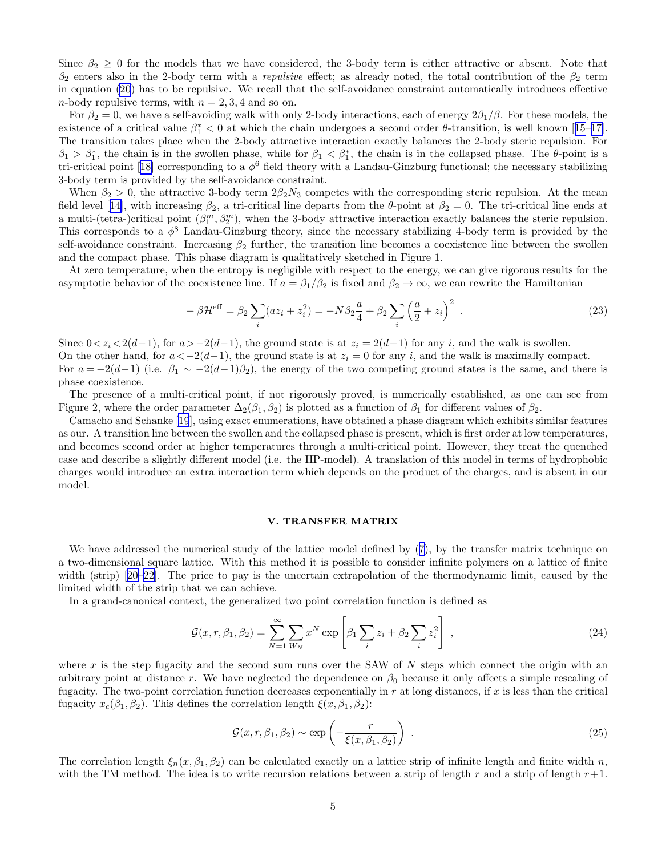<span id="page-4-0"></span>Since  $\beta_2 \geq 0$  for the models that we have considered, the 3-body term is either attractive or absent. Note that  $\beta_2$  enters also in the 2-body term with a *repulsive* effect; as already noted, the total contribution of the  $\beta_2$  term in equation [\(20](#page-3-0)) has to be repulsive. We recall that the self-avoidance constraint automatically introduces effective *n*-body repulsive terms, with  $n = 2, 3, 4$  and so on.

For  $\beta_2 = 0$ , we have a self-avoiding walk with only 2-body interactions, each of energy  $2\beta_1/\beta$ . For these models, the existenceof a critical value  $\beta_1^* < 0$  at which the chain undergoes a second order  $\theta$ -transition, is well known [[15–17\]](#page-11-0). The transition takes place when the 2-body attractive interaction exactly balances the 2-body steric repulsion. For  $\beta_1 > \beta_1^*$ , the chain is in the swollen phase, while for  $\beta_1 < \beta_1^*$ , the chain is in the collapsed phase. The  $\theta$ -point is a tri-criticalpoint [[18\]](#page-11-0) corresponding to a  $\phi^6$  field theory with a Landau-Ginzburg functional; the necessary stabilizing 3-body term is provided by the self-avoidance constraint.

When  $\beta_2 > 0$ , the attractive 3-body term  $2\beta_2 N_3$  competes with the corresponding steric repulsion. At the mean fieldlevel [[14\]](#page-10-0), with increasing  $\beta_2$ , a tri-critical line departs from the  $\theta$ -point at  $\beta_2 = 0$ . The tri-critical line ends at a multi-(tetra-)critical point  $(\beta_1^m, \beta_2^m)$ , when the 3-body attractive interaction exactly balances the steric repulsion. This corresponds to a  $\phi^8$  Landau-Ginzburg theory, since the necessary stabilizing 4-body term is provided by the self-avoidance constraint. Increasing  $\beta_2$  further, the transition line becomes a coexistence line between the swollen and the compact phase. This phase diagram is qualitatively sketched in Figure 1.

At zero temperature, when the entropy is negligible with respect to the energy, we can give rigorous results for the asymptotic behavior of the coexistence line. If  $a = \beta_1/\beta_2$  is fixed and  $\beta_2 \to \infty$ , we can rewrite the Hamiltonian

$$
-\beta \mathcal{H}^{\text{eff}} = \beta_2 \sum_{i} (az_i + z_i^2) = -N\beta_2 \frac{a}{4} + \beta_2 \sum_{i} \left(\frac{a}{2} + z_i\right)^2.
$$
 (23)

Since  $0 \lt z_i \lt 2(d-1)$ , for  $a \gt -2(d-1)$ , the ground state is at  $z_i = 2(d-1)$  for any i, and the walk is swollen. On the other hand, for  $a < -2(d-1)$ , the ground state is at  $z<sub>i</sub> = 0$  for any i, and the walk is maximally compact. For  $a = -2(d-1)$  (i.e.  $\beta_1 \sim -2(d-1)\beta_2$ ), the energy of the two competing ground states is the same, and there is phase coexistence.

The presence of a multi-critical point, if not rigorously proved, is numerically established, as one can see from Figure 2, where the order parameter  $\Delta_2(\beta_1, \beta_2)$  is plotted as a function of  $\beta_1$  for different values of  $\beta_2$ .

Camacho and Schanke [\[19](#page-11-0)], using exact enumerations, have obtained a phase diagram which exhibits similar features as our. A transition line between the swollen and the collapsed phase is present, which is first order at low temperatures, and becomes second order at higher temperatures through a multi-critical point. However, they treat the quenched case and describe a slightly different model (i.e. the HP-model). A translation of this model in terms of hydrophobic charges would introduce an extra interaction term which depends on the product of the charges, and is absent in our model.

### V. TRANSFER MATRIX

Wehave addressed the numerical study of the lattice model defined by  $(7)$  $(7)$ , by the transfer matrix technique on a two-dimensional square lattice. With this method it is possible to consider infinite polymers on a lattice of finite width(strip) [[20–22\]](#page-11-0). The price to pay is the uncertain extrapolation of the thermodynamic limit, caused by the limited width of the strip that we can achieve.

In a grand-canonical context, the generalized two point correlation function is defined as

$$
\mathcal{G}(x, r, \beta_1, \beta_2) = \sum_{N=1}^{\infty} \sum_{W_N} x^N \exp\left[\beta_1 \sum_i z_i + \beta_2 \sum_i z_i^2\right],
$$
\n(24)

where x is the step fugacity and the second sum runs over the SAW of  $N$  steps which connect the origin with an arbitrary point at distance r. We have neglected the dependence on  $\beta_0$  because it only affects a simple rescaling of fugacity. The two-point correlation function decreases exponentially in  $r$  at long distances, if  $x$  is less than the critical fugacity  $x_c(\beta_1, \beta_2)$ . This defines the correlation length  $\xi(x, \beta_1, \beta_2)$ :

$$
\mathcal{G}(x, r, \beta_1, \beta_2) \sim \exp\left(-\frac{r}{\xi(x, \beta_1, \beta_2)}\right) \tag{25}
$$

The correlation length  $\xi_n(x, \beta_1, \beta_2)$  can be calculated exactly on a lattice strip of infinite length and finite width n, with the TM method. The idea is to write recursion relations between a strip of length r and a strip of length  $r+1$ .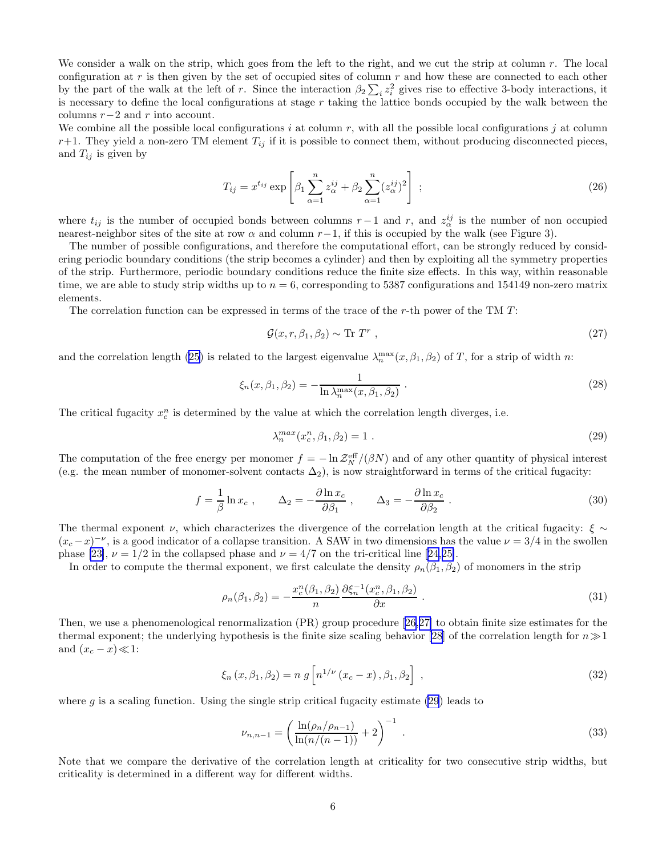<span id="page-5-0"></span>We consider a walk on the strip, which goes from the left to the right, and we cut the strip at column r. The local configuration at  $r$  is then given by the set of occupied sites of column  $r$  and how these are connected to each other by the part of the walk at the left of r. Since the interaction  $\beta_2 \sum_i z_i^2$  gives rise to effective 3-body interactions, it is necessary to define the local configurations at stage  $r$  taking the lattice bonds occupied by the walk between the columns  $r-2$  and r into account.

We combine all the possible local configurations i at column r, with all the possible local configurations i at column  $r+1$ . They yield a non-zero TM element  $T_{ij}$  if it is possible to connect them, without producing disconnected pieces, and  $T_{ij}$  is given by

$$
T_{ij} = x^{t_{ij}} \exp\left[\beta_1 \sum_{\alpha=1}^n z_{\alpha}^{ij} + \beta_2 \sum_{\alpha=1}^n (z_{\alpha}^{ij})^2\right] ; \qquad (26)
$$

where  $t_{ij}$  is the number of occupied bonds between columns  $r-1$  and  $r$ , and  $z_{\alpha}^{ij}$  is the number of non occupied nearest-neighbor sites of the site at row  $\alpha$  and column  $r-1$ , if this is occupied by the walk (see Figure 3).

The number of possible configurations, and therefore the computational effort, can be strongly reduced by considering periodic boundary conditions (the strip becomes a cylinder) and then by exploiting all the symmetry properties of the strip. Furthermore, periodic boundary conditions reduce the finite size effects. In this way, within reasonable time, we are able to study strip widths up to  $n = 6$ , corresponding to 5387 configurations and 154149 non-zero matrix elements.

The correlation function can be expressed in terms of the trace of the r-th power of the TM  $T$ :

$$
\mathcal{G}(x, r, \beta_1, \beta_2) \sim \text{Tr } T^r \tag{27}
$$

andthe correlation length ([25\)](#page-4-0) is related to the largest eigenvalue  $\lambda_n^{\max}(x,\beta_1,\beta_2)$  of T, for a strip of width n:

$$
\xi_n(x,\beta_1,\beta_2) = -\frac{1}{\ln \lambda_n^{\max}(x,\beta_1,\beta_2)}\,. \tag{28}
$$

The critical fugacity  $x_c^n$  is determined by the value at which the correlation length diverges, i.e.

$$
\lambda_n^{max}(x_c^n, \beta_1, \beta_2) = 1.
$$
\n<sup>(29)</sup>

The computation of the free energy per monomer  $f = -\ln \mathcal{Z}_N^{\text{eff}}/(\beta N)$  and of any other quantity of physical interest (e.g. the mean number of monomer-solvent contacts  $\Delta_2$ ), is now straightforward in terms of the critical fugacity:

$$
f = \frac{1}{\beta} \ln x_c , \qquad \Delta_2 = -\frac{\partial \ln x_c}{\partial \beta_1} , \qquad \Delta_3 = -\frac{\partial \ln x_c}{\partial \beta_2} . \tag{30}
$$

The thermal exponent  $\nu$ , which characterizes the divergence of the correlation length at the critical fugacity:  $\xi \sim$  $(x_c-x)^{-\nu}$ , is a good indicator of a collapse transition. A SAW in two dimensions has the value  $\nu = 3/4$  in the swollen phase [\[23\]](#page-11-0), $\nu = 1/2$  in the collapsed phase and  $\nu = 4/7$  on the tri-critical line [[24,25\]](#page-11-0).

In order to compute the thermal exponent, we first calculate the density  $\rho_n(\beta_1, \beta_2)$  of monomers in the strip

$$
\rho_n(\beta_1, \beta_2) = -\frac{x_c^n(\beta_1, \beta_2)}{n} \frac{\partial \xi_n^{-1}(x_c^n, \beta_1, \beta_2)}{\partial x} \,. \tag{31}
$$

Then, we use a phenomenological renormalization (PR) group procedure[[26,27\]](#page-11-0) to obtain finite size estimates for the thermal exponent; the underlying hypothesis is the finite size scaling behavior [\[28](#page-11-0)] of the correlation length for  $n \gg 1$ and  $(x_c - x) \ll 1$ :

$$
\xi_n(x,\beta_1,\beta_2) = n g \left[ n^{1/\nu} (x_c - x), \beta_1, \beta_2 \right],
$$
\n(32)

where g is a scaling function. Using the single strip critical fugacity estimate  $(29)$  leads to

$$
\nu_{n,n-1} = \left(\frac{\ln(\rho_n/\rho_{n-1})}{\ln(n/(n-1))} + 2\right)^{-1} \tag{33}
$$

Note that we compare the derivative of the correlation length at criticality for two consecutive strip widths, but criticality is determined in a different way for different widths.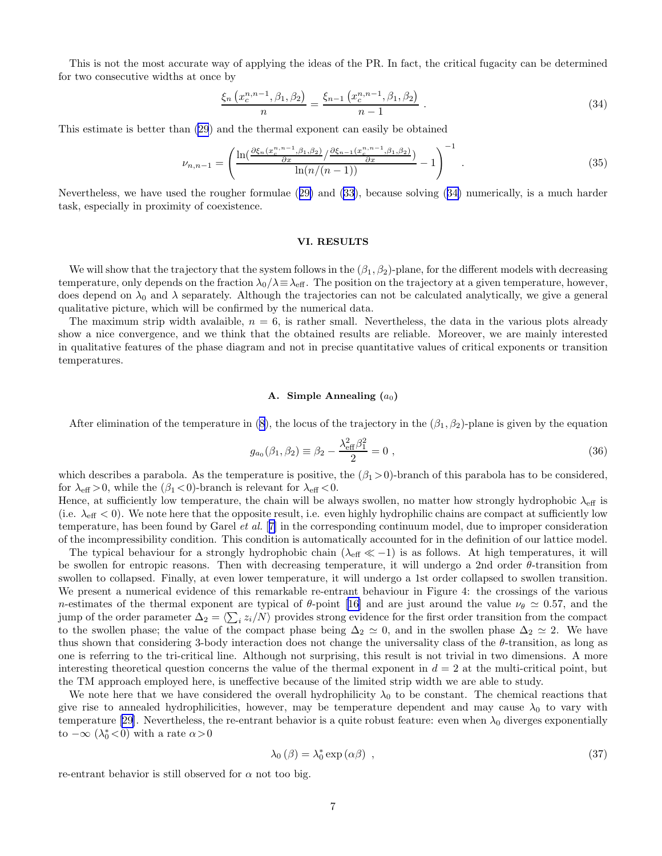<span id="page-6-0"></span>This is not the most accurate way of applying the ideas of the PR. In fact, the critical fugacity can be determined for two consecutive widths at once by

$$
\frac{\xi_n\left(x_c^{n,n-1}, \beta_1, \beta_2\right)}{n} = \frac{\xi_{n-1}\left(x_c^{n,n-1}, \beta_1, \beta_2\right)}{n-1} \,. \tag{34}
$$

This estimate is better than [\(29](#page-5-0)) and the thermal exponent can easily be obtained

$$
\nu_{n,n-1} = \left(\frac{\ln(\frac{\partial \xi_n(x_c^{n,n-1}, \beta_1, \beta_2)}{\partial x} / \frac{\partial \xi_{n-1}(x_c^{n,n-1}, \beta_1, \beta_2)}{\partial x}}{\ln(n/(n-1))} - 1\right)^{-1}.
$$
\n(35)

Nevertheless, we have used the rougher formulae([29\)](#page-5-0) and([33\)](#page-5-0), because solving (34) numerically, is a much harder task, especially in proximity of coexistence.

## VI. RESULTS

We will show that the trajectory that the system follows in the  $(\beta_1, \beta_2)$ -plane, for the different models with decreasing temperature, only depends on the fraction  $\lambda_0/\lambda \equiv \lambda_{\text{eff}}$ . The position on the trajectory at a given temperature, however, does depend on  $\lambda_0$  and  $\lambda$  separately. Although the trajectories can not be calculated analytically, we give a general qualitative picture, which will be confirmed by the numerical data.

The maximum strip width avalaible,  $n = 6$ , is rather small. Nevertheless, the data in the various plots already show a nice convergence, and we think that the obtained results are reliable. Moreover, we are mainly interested in qualitative features of the phase diagram and not in precise quantitative values of critical exponents or transition temperatures.

## A. Simple Annealing  $(a_0)$

After elimination of the temperature in [\(8](#page-2-0)), the locus of the trajectory in the  $(\beta_1, \beta_2)$ -plane is given by the equation

$$
g_{a_0}(\beta_1, \beta_2) \equiv \beta_2 - \frac{\lambda_{\text{eff}}^2 \beta_1^2}{2} = 0 , \qquad (36)
$$

which describes a parabola. As the temperature is positive, the  $(\beta_1 > 0)$ -branch of this parabola has to be considered, for  $\lambda_{\text{eff}} > 0$ , while the  $(\beta_1 < 0)$ -branch is relevant for  $\lambda_{\text{eff}} < 0$ .

Hence, at sufficiently low temperature, the chain will be always swollen, no matter how strongly hydrophobic  $\lambda_{\text{eff}}$  is (i.e.  $\lambda_{\text{eff}}$  < 0). We note here that the opposite result, i.e. even highly hydrophilic chains are compact at sufficiently low temperature, has been found by Garel et al. [[7\]](#page-10-0) in the corresponding continuum model, due to improper consideration of the incompressibility condition. This condition is automatically accounted for in the definition of our lattice model.

The typical behaviour for a strongly hydrophobic chain ( $\lambda_{\text{eff}} \ll -1$ ) is as follows. At high temperatures, it will be swollen for entropic reasons. Then with decreasing temperature, it will undergo a 2nd order θ-transition from swollen to collapsed. Finally, at even lower temperature, it will undergo a 1st order collapsed to swollen transition. We present a numerical evidence of this remarkable re-entrant behaviour in Figure 4: the crossings of the various n-estimatesof the thermal exponent are typical of  $\theta$ -point [[16](#page-11-0)] and are just around the value  $\nu_{\theta} \simeq 0.57$ , and the jump of the order parameter  $\Delta_2 = \langle \sum_i z_i/N \rangle$  provides strong evidence for the first order transition from the compact to the swollen phase; the value of the compact phase being  $\Delta_2 \simeq 0$ , and in the swollen phase  $\Delta_2 \simeq 2$ . We have thus shown that considering 3-body interaction does not change the universality class of the  $\theta$ -transition, as long as one is referring to the tri-critical line. Although not surprising, this result is not trivial in two dimensions. A more interesting theoretical question concerns the value of the thermal exponent in  $d = 2$  at the multi-critical point, but the TM approach employed here, is uneffective because of the limited strip width we are able to study.

We note here that we have considered the overall hydrophilicity  $\lambda_0$  to be constant. The chemical reactions that give rise to annealed hydrophilicities, however, may be temperature dependent and may cause  $\lambda_0$  to vary with temperature [\[29](#page-11-0)]. Nevertheless, the re-entrant behavior is a quite robust feature: even when  $\lambda_0$  diverges exponentially to  $-\infty$  ( $\lambda_0^*$ <0) with a rate  $\alpha > 0$ 

$$
\lambda_0(\beta) = \lambda_0^* \exp\left(\alpha \beta\right) \tag{37}
$$

re-entrant behavior is still observed for  $\alpha$  not too big.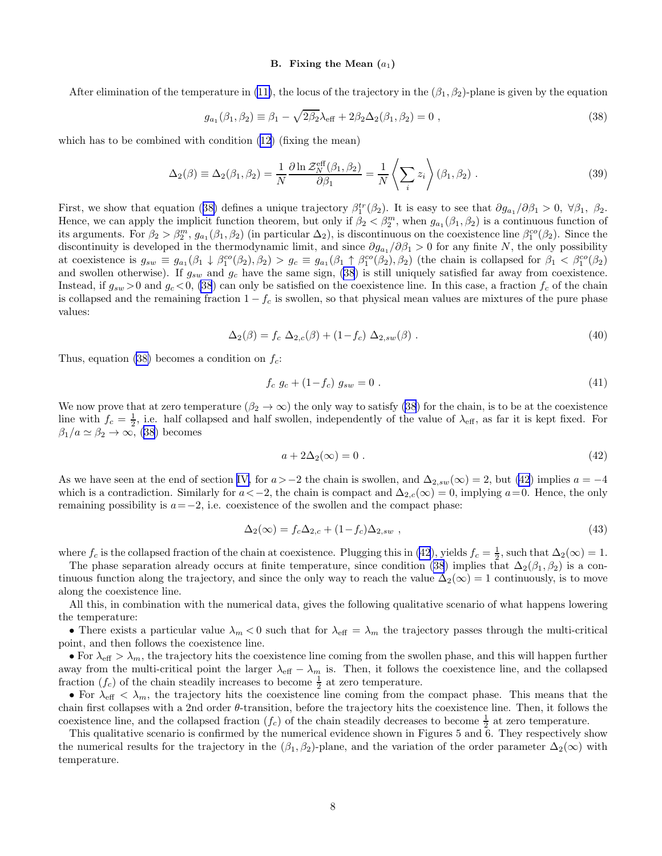## B. Fixing the Mean  $(a_1)$

<span id="page-7-0"></span>After elimination of the temperature in [\(11\)](#page-2-0), the locus of the trajectory in the  $(\beta_1, \beta_2)$ -plane is given by the equation

$$
g_{a_1}(\beta_1, \beta_2) \equiv \beta_1 - \sqrt{2\beta_2} \lambda_{\text{eff}} + 2\beta_2 \Delta_2(\beta_1, \beta_2) = 0 , \qquad (38)
$$

which has to be combined with condition([12\)](#page-2-0) (fixing the mean)

$$
\Delta_2(\beta) \equiv \Delta_2(\beta_1, \beta_2) = \frac{1}{N} \frac{\partial \ln \mathcal{Z}_N^{\text{eff}}(\beta_1, \beta_2)}{\partial \beta_1} = \frac{1}{N} \left\langle \sum_i z_i \right\rangle (\beta_1, \beta_2) . \tag{39}
$$

First, we show that equation (38) defines a unique trajectory  $\beta_1^{tr}(\beta_2)$ . It is easy to see that  $\partial g_{a_1}/\partial \beta_1 > 0$ ,  $\forall \beta_1$ ,  $\beta_2$ . Hence, we can apply the implicit function theorem, but only if  $\beta_2 < \beta_2^m$ , when  $g_{a_1}(\beta_1, \beta_2)$  is a continuous function of its arguments. For  $\beta_2 > \beta_2^m$ ,  $g_{a_1}(\beta_1, \beta_2)$  (in particular  $\Delta_2$ ), is discontinuous on the coexistence line  $\beta_1^{co}(\beta_2)$ . Since the discontinuity is developed in the thermodynamic limit, and since  $\partial g_{a_1}/\partial \beta_1 > 0$  for any finite N, the only possibility at coexistence is  $g_{sw} \equiv g_{a_1}(\beta_1 \downarrow \beta_1^{co}(\beta_2), \beta_2) > g_c \equiv g_{a_1}(\beta_1 \uparrow \beta_1^{co}(\beta_2), \beta_2)$  (the chain is collapsed for  $\beta_1 < \beta_1^{co}(\beta_2)$ and swollen otherwise). If  $g_{sw}$  and  $g_c$  have the same sign, (38) is still uniquely satisfied far away from coexistence. Instead, if  $g_{sw} > 0$  and  $g_c < 0$ , (38) can only be satisfied on the coexistence line. In this case, a fraction  $f_c$  of the chain is collapsed and the remaining fraction  $1 - f_c$  is swollen, so that physical mean values are mixtures of the pure phase values:

$$
\Delta_2(\beta) = f_c \ \Delta_{2,c}(\beta) + (1 - f_c) \ \Delta_{2,sw}(\beta) \ . \tag{40}
$$

Thus, equation (38) becomes a condition on  $f_c$ :

$$
f_c g_c + (1 - f_c) g_{sw} = 0.
$$
\n(41)

We now prove that at zero temperature  $(\beta_2 \to \infty)$  the only way to satisfy (38) for the chain, is to be at the coexistence line with  $f_c = \frac{1}{2}$ , i.e. half collapsed and half swollen, independently of the value of  $\lambda_{\text{eff}}$ , as far it is kept fixed. For  $\beta_1/a \simeq \beta_2 \rightarrow \infty$ , (38) becomes

$$
a + 2\Delta_2(\infty) = 0. \tag{42}
$$

As we have seen at the end of section [IV](#page-3-0), for  $a > -2$  the chain is swollen, and  $\Delta_{2,sw}(\infty) = 2$ , but (42) implies  $a = -4$ which is a contradiction. Similarly for  $a < -2$ , the chain is compact and  $\Delta_{2,c}(\infty) = 0$ , implying  $a = 0$ . Hence, the only remaining possibility is  $a = -2$ , i.e. coexistence of the swollen and the compact phase:

$$
\Delta_2(\infty) = f_c \Delta_{2,c} + (1 - f_c) \Delta_{2,sw} , \qquad (43)
$$

where  $f_c$  is the collapsed fraction of the chain at coexistence. Plugging this in (42), yields  $f_c = \frac{1}{2}$ , such that  $\Delta_2(\infty) = 1$ .

The phase separation already occurs at finite temperature, since condition (38) implies that  $\Delta_2(\beta_1, \beta_2)$  is a continuous function along the trajectory, and since the only way to reach the value  $\Delta_2(\infty) = 1$  continuously, is to move along the coexistence line.

All this, in combination with the numerical data, gives the following qualitative scenario of what happens lowering the temperature:

• There exists a particular value  $\lambda_m < 0$  such that for  $\lambda_{\text{eff}} = \lambda_m$  the trajectory passes through the multi-critical point, and then follows the coexistence line.

• For  $\lambda_{\text{eff}} > \lambda_m$ , the trajectory hits the coexistence line coming from the swollen phase, and this will happen further away from the multi-critical point the larger  $\lambda_{\text{eff}} - \lambda_m$  is. Then, it follows the coexistence line, and the collapsed fraction  $(f_c)$  of the chain steadily increases to become  $\frac{1}{2}$  at zero temperature.

• For  $\lambda_{\text{eff}} < \lambda_m$ , the trajectory hits the coexistence line coming from the compact phase. This means that the chain first collapses with a 2nd order θ-transition, before the trajectory hits the coexistence line. Then, it follows the coexistence line, and the collapsed fraction  $(f_c)$  of the chain steadily decreases to become  $\frac{1}{2}$  at zero temperature.

This qualitative scenario is confirmed by the numerical evidence shown in Figures 5 and 6. They respectively show the numerical results for the trajectory in the  $(\beta_1, \beta_2)$ -plane, and the variation of the order parameter  $\Delta_2(\infty)$  with temperature.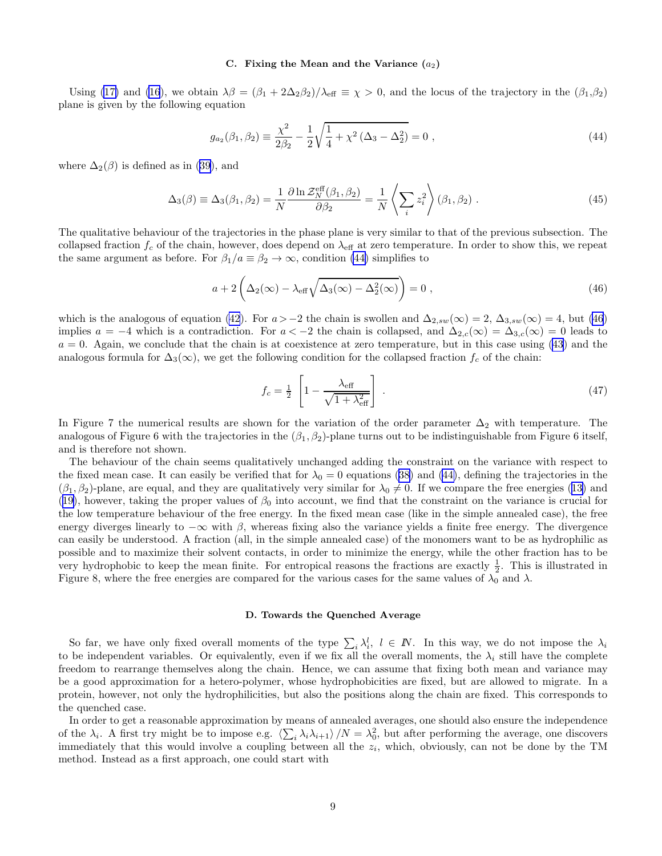### C. Fixing the Mean and the Variance  $(a_2)$

<span id="page-8-0"></span>Using [\(17\)](#page-3-0) and [\(16](#page-3-0)), we obtain  $\lambda \beta = (\beta_1 + 2\Delta_2\beta_2)/\lambda_{\text{eff}} \equiv \chi > 0$ , and the locus of the trajectory in the  $(\beta_1, \beta_2)$ plane is given by the following equation

$$
g_{a_2}(\beta_1, \beta_2) \equiv \frac{\chi^2}{2\beta_2} - \frac{1}{2} \sqrt{\frac{1}{4} + \chi^2 \left(\Delta_3 - \Delta_2^2\right)} = 0 \tag{44}
$$

where $\Delta_2(\beta)$  is defined as in ([39\)](#page-7-0), and

$$
\Delta_3(\beta) \equiv \Delta_3(\beta_1, \beta_2) = \frac{1}{N} \frac{\partial \ln \mathcal{Z}_N^{\text{eff}}(\beta_1, \beta_2)}{\partial \beta_2} = \frac{1}{N} \left\langle \sum_i z_i^2 \right\rangle (\beta_1, \beta_2) . \tag{45}
$$

The qualitative behaviour of the trajectories in the phase plane is very similar to that of the previous subsection. The collapsed fraction  $f_c$  of the chain, however, does depend on  $\lambda_{\text{eff}}$  at zero temperature. In order to show this, we repeat the same argument as before. For  $\beta_1/a \equiv \beta_2 \rightarrow \infty$ , condition (44) simplifies to

$$
a + 2\left(\Delta_2(\infty) - \lambda_{\text{eff}}\sqrt{\Delta_3(\infty) - \Delta_2^2(\infty)}\right) = 0,
$$
\n(46)

which is the analogous of equation [\(42](#page-7-0)). For  $a > -2$  the chain is swollen and  $\Delta_{2,sw}(\infty) = 2$ ,  $\Delta_{3,sw}(\infty) = 4$ , but (46) implies  $a = -4$  which is a contradiction. For  $a < -2$  the chain is collapsed, and  $\Delta_{2,c}(\infty) = \Delta_{3,c}(\infty) = 0$  leads to  $a = 0$ . Again, we conclude that the chain is at coexistence at zero temperature, but in this case using [\(43](#page-7-0)) and the analogous formula for  $\Delta_3(\infty)$ , we get the following condition for the collapsed fraction  $f_c$  of the chain:

$$
f_c = \frac{1}{2} \left[ 1 - \frac{\lambda_{\text{eff}}}{\sqrt{1 + \lambda_{\text{eff}}^2}} \right].
$$
 (47)

In Figure 7 the numerical results are shown for the variation of the order parameter  $\Delta_2$  with temperature. The analogous of Figure 6 with the trajectories in the  $(\beta_1, \beta_2)$ -plane turns out to be indistinguishable from Figure 6 itself, and is therefore not shown.

The behaviour of the chain seems qualitatively unchanged adding the constraint on the variance with respect to the fixed mean case. It can easily be verified that for  $\lambda_0 = 0$  equations [\(38](#page-7-0)) and (44), defining the trajectories in the  $(\beta_1, \beta_2)$  $(\beta_1, \beta_2)$  $(\beta_1, \beta_2)$ -plane, are equal, and they are qualitatively very similar for  $\lambda_0 \neq 0$ . If we compare the free energies ([13\)](#page-3-0) and ([19\)](#page-3-0), however, taking the proper values of  $\beta_0$  into account, we find that the constraint on the variance is crucial for the low temperature behaviour of the free energy. In the fixed mean case (like in the simple annealed case), the free energy diverges linearly to  $-\infty$  with  $\beta$ , whereas fixing also the variance yields a finite free energy. The divergence can easily be understood. A fraction (all, in the simple annealed case) of the monomers want to be as hydrophilic as possible and to maximize their solvent contacts, in order to minimize the energy, while the other fraction has to be very hydrophobic to keep the mean finite. For entropical reasons the fractions are exactly  $\frac{1}{2}$ . This is illustrated in Figure 8, where the free energies are compared for the various cases for the same values of  $\lambda_0$  and  $\lambda$ .

#### D. Towards the Quenched Average

So far, we have only fixed overall moments of the type  $\sum_i \lambda_i^l$ ,  $l \in \mathbb{N}$ . In this way, we do not impose the  $\lambda_i$ to be independent variables. Or equivalently, even if we fix all the overall moments, the  $\lambda_i$  still have the complete freedom to rearrange themselves along the chain. Hence, we can assume that fixing both mean and variance may be a good approximation for a hetero-polymer, whose hydrophobicities are fixed, but are allowed to migrate. In a protein, however, not only the hydrophilicities, but also the positions along the chain are fixed. This corresponds to the quenched case.

In order to get a reasonable approximation by means of annealed averages, one should also ensure the independence of the  $\lambda_i$ . A first try might be to impose e.g.  $\langle \sum_i \lambda_i \lambda_{i+1} \rangle/N = \lambda_0^2$ , but after performing the average, one discovers immediately that this would involve a coupling between all the  $z_i$ , which, obviously, can not be done by the TM method. Instead as a first approach, one could start with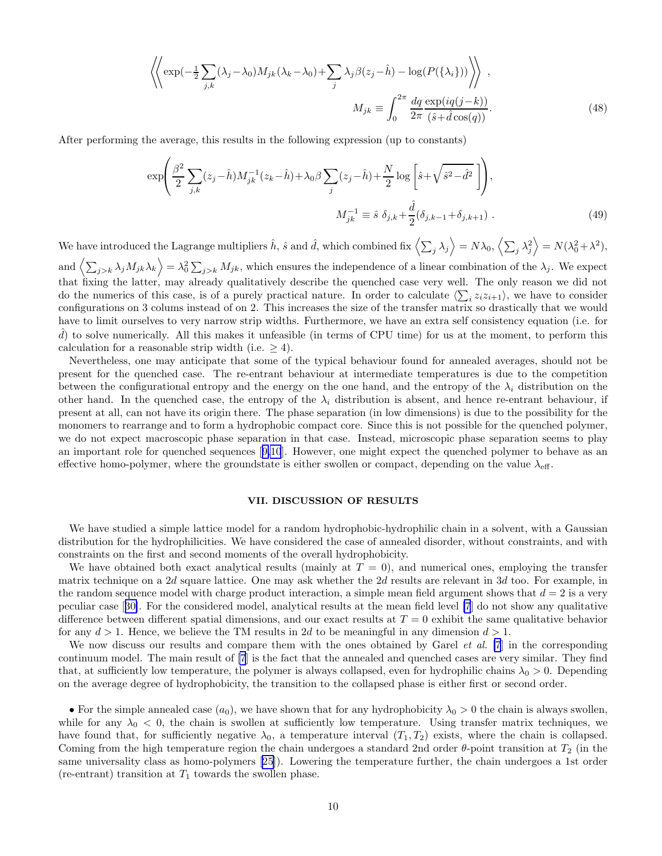$$
\left\langle \left\langle \exp\left(-\frac{1}{2}\sum_{j,k} (\lambda_j - \lambda_0) M_{jk} (\lambda_k - \lambda_0) + \sum_j \lambda_j \beta(z_j - \hat{h}) - \log(P(\{\lambda_i\})) \right\rangle \right\rangle, \right\rangle,
$$
  

$$
M_{jk} \equiv \int_0^{2\pi} \frac{dq}{2\pi} \frac{\exp(iq(j-k))}{(\hat{s} + \hat{d}\cos(q))}.
$$
 (48)

<span id="page-9-0"></span>After performing the average, this results in the following expression (up to constants)

$$
\exp\left(\frac{\beta^2}{2}\sum_{j,k}(z_j-\hat{h})M_{jk}^{-1}(z_k-\hat{h})+\lambda_0\beta\sum_j(z_j-\hat{h})+\frac{N}{2}\log\left[\hat{s}+\sqrt{\hat{s}^2-\hat{d}^2}\,\right]\right),\qquad M_{jk}^{-1}\equiv\hat{s}\,\,\delta_{j,k}+\frac{\hat{d}}{2}(\delta_{j,k-1}+\delta_{j,k+1})\,.
$$
\n(49)

We have introduced the Lagrange multipliers  $\hat{h}$ ,  $\hat{s}$  and  $\hat{d}$ , which combined fix  $\left\langle \sum_j \lambda_j \right\rangle = N \lambda_0$ ,  $\left\langle \sum_j \lambda_j^2 \right\rangle = N(\lambda_0^2 + \lambda^2)$ , and  $\left\langle \sum_{j>k} \lambda_j M_{jk} \lambda_k \right\rangle = \lambda_0^2 \sum_{j>k} M_{jk}$ , which ensures the independence of a linear combination of the  $\lambda_j$ . We expect

that fixing the latter, may already qualitatively describe the quenched case very well. The only reason we did not do the numerics of this case, is of a purely practical nature. In order to calculate  $\langle \sum_i z_i z_{i+1} \rangle$ , we have to consider configurations on 3 colums instead of on 2. This increases the size of the transfer matrix so drastically that we would have to limit ourselves to very narrow strip widths. Furthermore, we have an extra self consistency equation (i.e. for ˆd) to solve numerically. All this makes it unfeasible (in terms of CPU time) for us at the moment, to perform this calculation for a reasonable strip width (i.e.  $> 4$ ).

Nevertheless, one may anticipate that some of the typical behaviour found for annealed averages, should not be present for the quenched case. The re-entrant behaviour at intermediate temperatures is due to the competition between the configurational entropy and the energy on the one hand, and the entropy of the  $\lambda_i$  distribution on the other hand. In the quenched case, the entropy of the  $\lambda_i$  distribution is absent, and hence re-entrant behaviour, if present at all, can not have its origin there. The phase separation (in low dimensions) is due to the possibility for the monomers to rearrange and to form a hydrophobic compact core. Since this is not possible for the quenched polymer, we do not expect macroscopic phase separation in that case. Instead, microscopic phase separation seems to play an important role for quenched sequences[[9,10](#page-10-0)]. However, one might expect the quenched polymer to behave as an effective homo-polymer, where the groundstate is either swollen or compact, depending on the value  $\lambda_{\text{eff}}$ .

# VII. DISCUSSION OF RESULTS

We have studied a simple lattice model for a random hydrophobic-hydrophilic chain in a solvent, with a Gaussian distribution for the hydrophilicities. We have considered the case of annealed disorder, without constraints, and with constraints on the first and second moments of the overall hydrophobicity.

We have obtained both exact analytical results (mainly at  $T = 0$ ), and numerical ones, employing the transfer matrix technique on a 2d square lattice. One may ask whether the  $2d$  results are relevant in  $3d$  too. For example, in the random sequence model with charge product interaction, a simple mean field argument shows that  $d = 2$  is a very peculiar case[[30\]](#page-11-0). For the considered model, analytical results at the mean field level [\[7](#page-10-0)] do not show any qualitative difference between different spatial dimensions, and our exact results at  $T = 0$  exhibit the same qualitative behavior for any  $d > 1$ . Hence, we believe the TM results in 2d to be meaningful in any dimension  $d > 1$ .

We now discuss our results and compare them with the ones obtained by Garel *et al.* [\[7](#page-10-0)] in the corresponding continuum model. The main result of [\[7](#page-10-0)] is the fact that the annealed and quenched cases are very similar. They find that, at sufficiently low temperature, the polymer is always collapsed, even for hydrophilic chains  $\lambda_0 > 0$ . Depending on the average degree of hydrophobicity, the transition to the collapsed phase is either first or second order.

• For the simple annealed case  $(a_0)$ , we have shown that for any hydrophobicity  $\lambda_0 > 0$  the chain is always swollen, while for any  $\lambda_0 < 0$ , the chain is swollen at sufficiently low temperature. Using transfer matrix techniques, we have found that, for sufficiently negative  $\lambda_0$ , a temperature interval  $(T_1, T_2)$  exists, where the chain is collapsed. Coming from the high temperature region the chain undergoes a standard 2nd order  $\theta$ -point transition at  $T_2$  (in the same universality class as homo-polymers[[25\]](#page-11-0)). Lowering the temperature further, the chain undergoes a 1st order (re-entrant) transition at  $T_1$  towards the swollen phase.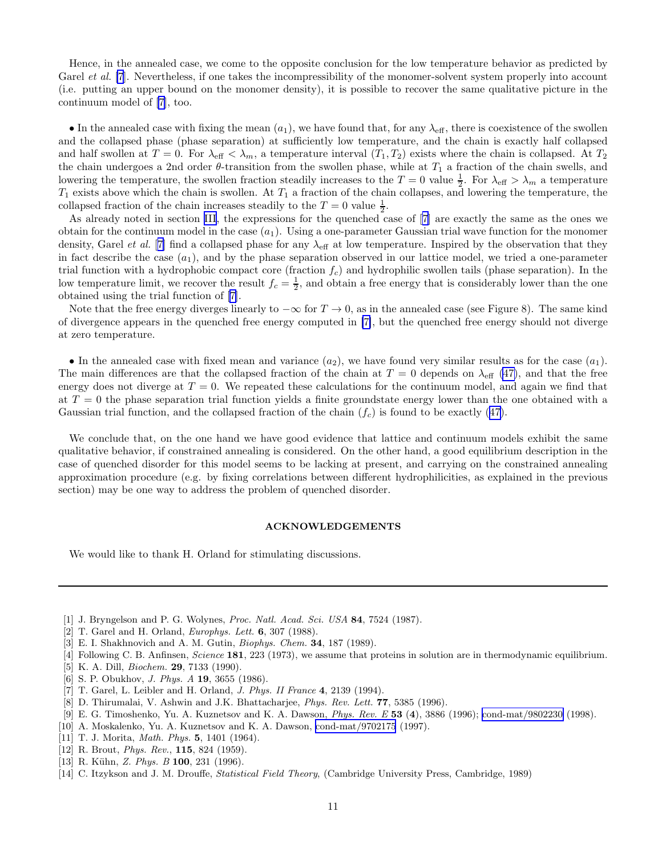<span id="page-10-0"></span>Hence, in the annealed case, we come to the opposite conclusion for the low temperature behavior as predicted by Garel *et al.* [7]. Nevertheless, if one takes the incompressibility of the monomer-solvent system properly into account (i.e. putting an upper bound on the monomer density), it is possible to recover the same qualitative picture in the continuum model of [7], too.

• In the annealed case with fixing the mean  $(a_1)$ , we have found that, for any  $\lambda_{\text{eff}}$ , there is coexistence of the swollen and the collapsed phase (phase separation) at sufficiently low temperature, and the chain is exactly half collapsed and half swollen at  $T = 0$ . For  $\lambda_{\text{eff}} < \lambda_m$ , a temperature interval  $(T_1, T_2)$  exists where the chain is collapsed. At  $T_2$ the chain undergoes a 2nd order  $\theta$ -transition from the swollen phase, while at  $T_1$  a fraction of the chain swells, and lowering the temperature, the swollen fraction steadily increases to the  $T=0$  value  $\frac{1}{2}$ . For  $\lambda_{\text{eff}} > \lambda_m$  a temperature  $T_1$  exists above which the chain is swollen. At  $T_1$  a fraction of the chain collapses, and lowering the temperature, the collapsed fraction of the chain increases steadily to the  $T = 0$  value  $\frac{1}{2}$ .

As already noted in section [III](#page-1-0), the expressions for the quenched case of [7] are exactly the same as the ones we obtain for the continuum model in the case  $(a_1)$ . Using a one-parameter Gaussian trial wave function for the monomer density, Garel *et al.* [7] find a collapsed phase for any  $\lambda_{\text{eff}}$  at low temperature. Inspired by the observation that they in fact describe the case  $(a_1)$ , and by the phase separation observed in our lattice model, we tried a one-parameter trial function with a hydrophobic compact core (fraction  $f_c$ ) and hydrophilic swollen tails (phase separation). In the low temperature limit, we recover the result  $f_c = \frac{1}{2}$ , and obtain a free energy that is considerably lower than the one obtained using the trial function of [7].

Note that the free energy diverges linearly to  $-\infty$  for  $T \to 0$ , as in the annealed case (see Figure 8). The same kind of divergence appears in the quenched free energy computed in [7], but the quenched free energy should not diverge at zero temperature.

• In the annealed case with fixed mean and variance  $(a_2)$ , we have found very similar results as for the case  $(a_1)$ . The main differences are that the collapsed fraction of the chain at  $T = 0$  depends on  $\lambda_{\text{eff}}$  [\(47\)](#page-8-0), and that the free energy does not diverge at  $T = 0$ . We repeated these calculations for the continuum model, and again we find that at  $T = 0$  the phase separation trial function yields a finite groundstate energy lower than the one obtained with a Gaussiantrial function, and the collapsed fraction of the chain  $(f_c)$  is found to be exactly ([47\)](#page-8-0).

We conclude that, on the one hand we have good evidence that lattice and continuum models exhibit the same qualitative behavior, if constrained annealing is considered. On the other hand, a good equilibrium description in the case of quenched disorder for this model seems to be lacking at present, and carrying on the constrained annealing approximation procedure (e.g. by fixing correlations between different hydrophilicities, as explained in the previous section) may be one way to address the problem of quenched disorder.

## ACKNOWLEDGEMENTS

We would like to thank H. Orland for stimulating discussions.

- [1] J. Bryngelson and P. G. Wolynes, *Proc. Natl. Acad. Sci. USA* 84, 7524 (1987).
- [2] T. Garel and H. Orland, *Europhys. Lett.* 6, 307 (1988).
- [3] E. I. Shakhnovich and A. M. Gutin, *Biophys. Chem.* 34, 187 (1989).
- [4] Following C. B. Anfinsen, *Science* 181, 223 (1973), we assume that proteins in solution are in thermodynamic equilibrium.
- [5] K. A. Dill, *Biochem.* 29, 7133 (1990).
- [6] S. P. Obukhov, *J. Phys. A* 19, 3655 (1986).
- [7] T. Garel, L. Leibler and H. Orland, *J. Phys. II France* 4, 2139 (1994).
- [8] D. Thirumalai, V. Ashwin and J.K. Bhattacharjee, *Phys. Rev. Lett.* 77, 5385 (1996).
- [9] E. G. Timoshenko, Yu. A. Kuznetsov and K. A. Dawson, *Phys. Rev. E* 53 (4), 3886 (1996); [cond-mat/9802230](http://arxiv.org/abs/cond-mat/9802230) (1998).
- [10] A. Moskalenko, Yu. A. Kuznetsov and K. A. Dawson, [cond-mat/9702175](http://arxiv.org/abs/cond-mat/9702175) (1997).
- [11] T. J. Morita, *Math. Phys.* 5, 1401 (1964).
- [12] R. Brout, *Phys. Rev.*, 115, 824 (1959).
- [13] R. Kühn, *Z. Phys. B* 100, 231 (1996).
- [14] C. Itzykson and J. M. Drouffe, *Statistical Field Theory*, (Cambridge University Press, Cambridge, 1989)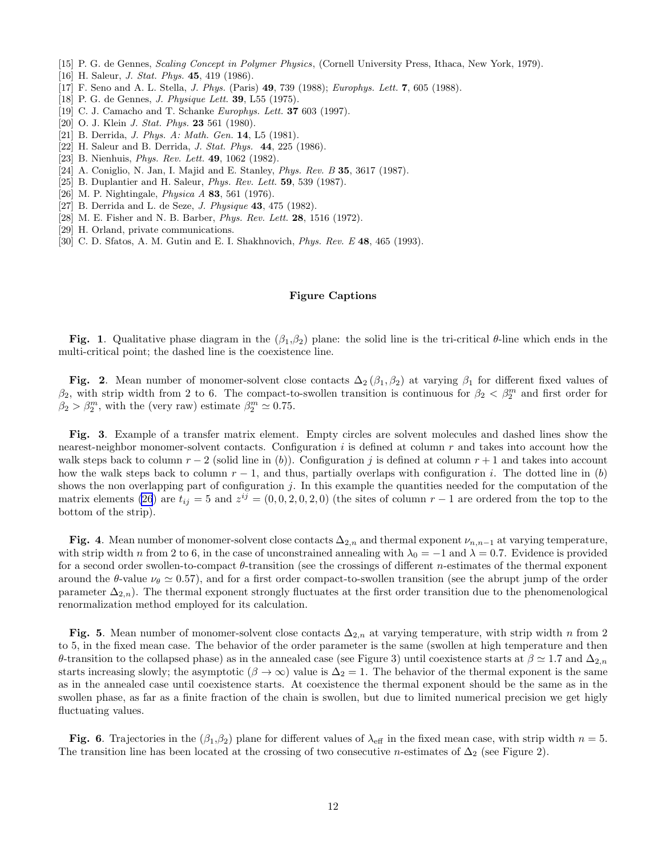- <span id="page-11-0"></span>[15] P. G. de Gennes, *Scaling Concept in Polymer Physics*, (Cornell University Press, Ithaca, New York, 1979).
- [16] H. Saleur, *J. Stat. Phys.* 45, 419 (1986).
- [17] F. Seno and A. L. Stella, *J. Phys.* (Paris) 49, 739 (1988); *Europhys. Lett.* 7, 605 (1988).
- [18] P. G. de Gennes, *J. Physique Lett.* 39, L55 (1975).
- [19] C. J. Camacho and T. Schanke *Europhys. Lett.* 37 603 (1997).
- [20] O. J. Klein *J. Stat. Phys.* 23 561 (1980).
- [21] B. Derrida, *J. Phys. A: Math. Gen.* 14, L5 (1981).
- [22] H. Saleur and B. Derrida, *J. Stat. Phys.* 44, 225 (1986).
- [23] B. Nienhuis, *Phys. Rev. Lett.* 49, 1062 (1982).
- [24] A. Coniglio, N. Jan, I. Majid and E. Stanley, *Phys. Rev. B* 35, 3617 (1987).
- [25] B. Duplantier and H. Saleur, *Phys. Rev. Lett.* 59, 539 (1987).
- [26] M. P. Nightingale, *Physica A* 83, 561 (1976).
- [27] B. Derrida and L. de Seze, *J. Physique* 43, 475 (1982).
- [28] M. E. Fisher and N. B. Barber, *Phys. Rev. Lett.* 28, 1516 (1972).
- [29] H. Orland, private communications.
- [30] C. D. Sfatos, A. M. Gutin and E. I. Shakhnovich, *Phys. Rev. E* 48, 465 (1993).

## Figure Captions

Fig. 1. Qualitative phase diagram in the  $(\beta_1,\beta_2)$  plane: the solid line is the tri-critical  $\theta$ -line which ends in the multi-critical point; the dashed line is the coexistence line.

Fig. 2. Mean number of monomer-solvent close contacts  $\Delta_2(\beta_1, \beta_2)$  at varying  $\beta_1$  for different fixed values of  $\beta_2$ , with strip width from 2 to 6. The compact-to-swollen transition is continuous for  $\beta_2 < \beta_2^m$  and first order for  $\beta_2 > \beta_2^m$ , with the (very raw) estimate  $\beta_2^m \simeq 0.75$ .

Fig. 3. Example of a transfer matrix element. Empty circles are solvent molecules and dashed lines show the nearest-neighbor monomer-solvent contacts. Configuration  $i$  is defined at column  $r$  and takes into account how the walk steps back to column  $r-2$  (solid line in (b)). Configuration j is defined at column  $r+1$  and takes into account how the walk steps back to column  $r - 1$ , and thus, partially overlaps with configuration i. The dotted line in (b) shows the non overlapping part of configuration  $j$ . In this example the quantities needed for the computation of the matrix elements [\(26](#page-5-0)) are  $t_{ij} = 5$  and  $z^{ij} = (0, 0, 2, 0, 2, 0)$  (the sites of column  $r - 1$  are ordered from the top to the bottom of the strip).

**Fig. 4.** Mean number of monomer-solvent close contacts  $\Delta_{2,n}$  and thermal exponent  $\nu_{n,n-1}$  at varying temperature, with strip width n from 2 to 6, in the case of unconstrained annealing with  $\lambda_0 = -1$  and  $\lambda = 0.7$ . Evidence is provided for a second order swollen-to-compact  $\theta$ -transition (see the crossings of different *n*-estimates of the thermal exponent around the  $\theta$ -value  $\nu_{\theta} \simeq 0.57$ ), and for a first order compact-to-swollen transition (see the abrupt jump of the order parameter  $\Delta_{2,n}$ ). The thermal exponent strongly fluctuates at the first order transition due to the phenomenological renormalization method employed for its calculation.

Fig. 5. Mean number of monomer-solvent close contacts  $\Delta_{2,n}$  at varying temperature, with strip width n from 2 to 5, in the fixed mean case. The behavior of the order parameter is the same (swollen at high temperature and then θ-transition to the collapsed phase) as in the annealed case (see Figure 3) until coexistence starts at  $β ≈ 1.7$  and  $Δ_{2,n}$ starts increasing slowly; the asymptotic  $(\beta \to \infty)$  value is  $\Delta_2 = 1$ . The behavior of the thermal exponent is the same as in the annealed case until coexistence starts. At coexistence the thermal exponent should be the same as in the swollen phase, as far as a finite fraction of the chain is swollen, but due to limited numerical precision we get higly fluctuating values.

Fig. 6. Trajectories in the  $(\beta_1,\beta_2)$  plane for different values of  $\lambda_{\text{eff}}$  in the fixed mean case, with strip width  $n=5$ . The transition line has been located at the crossing of two consecutive n-estimates of  $\Delta_2$  (see Figure 2).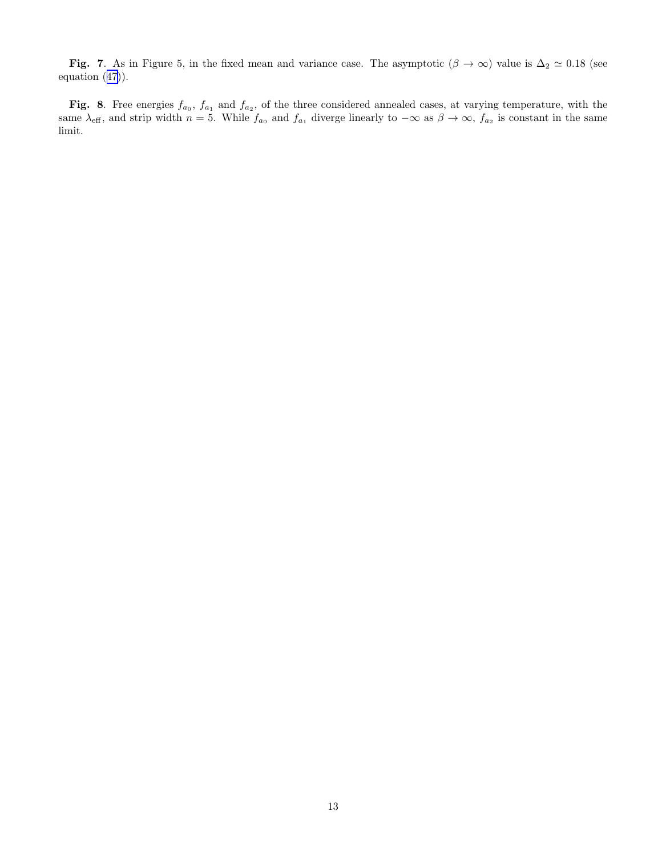Fig. 7. As in Figure 5, in the fixed mean and variance case. The asymptotic  $(\beta \to \infty)$  value is  $\Delta_2 \simeq 0.18$  (see equation([47\)](#page-8-0)).

Fig. 8. Free energies  $f_{a_0}$ ,  $f_{a_1}$  and  $f_{a_2}$ , of the three considered annealed cases, at varying temperature, with the same  $\lambda_{\text{eff}}$ , and strip width  $n = 5$ . While  $f_{a_0}$  and  $f_{a_1}$  diverge linearly to  $-\infty$  as  $\beta \to \infty$ ,  $f_{a_2}$  is constant in the same limit.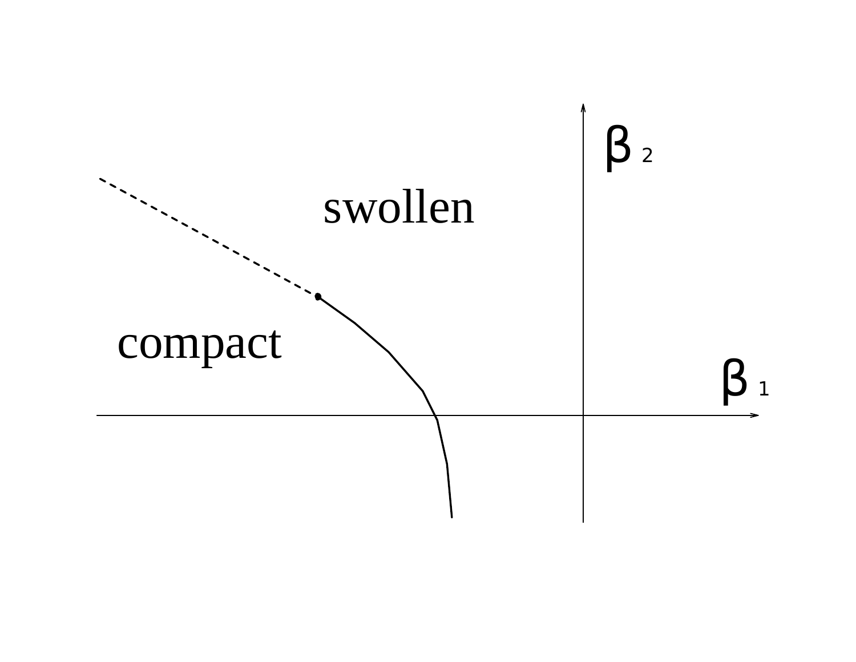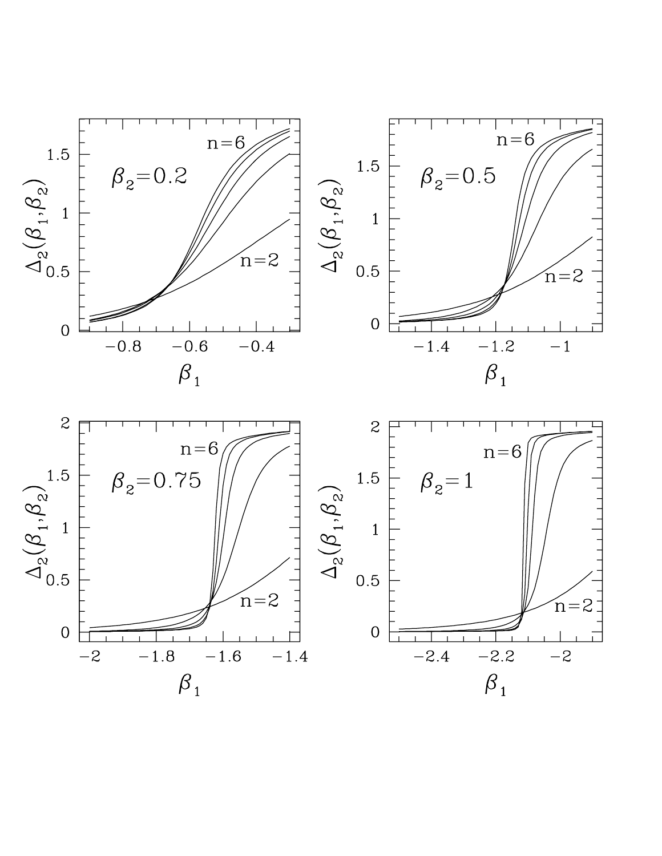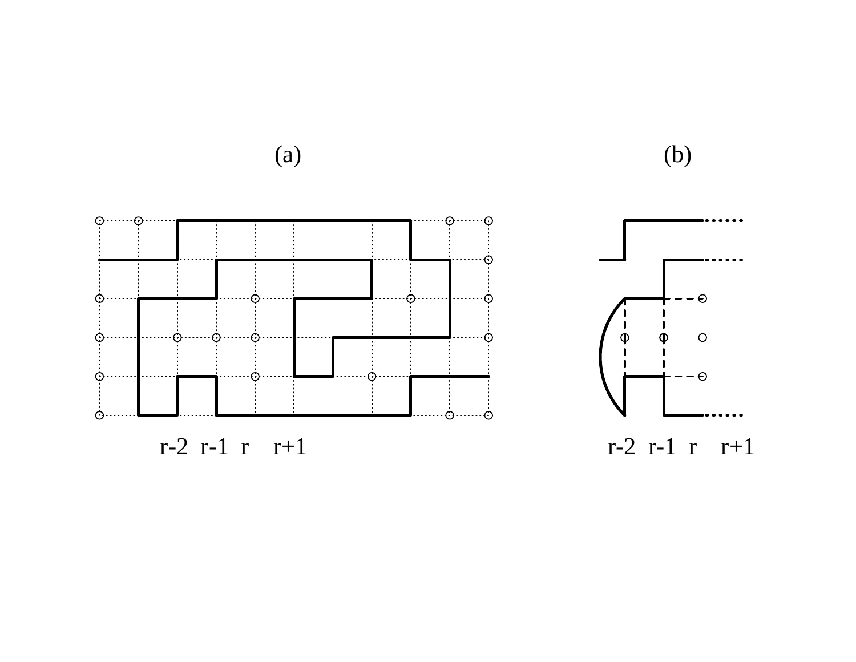



(a)  $(b)$ 

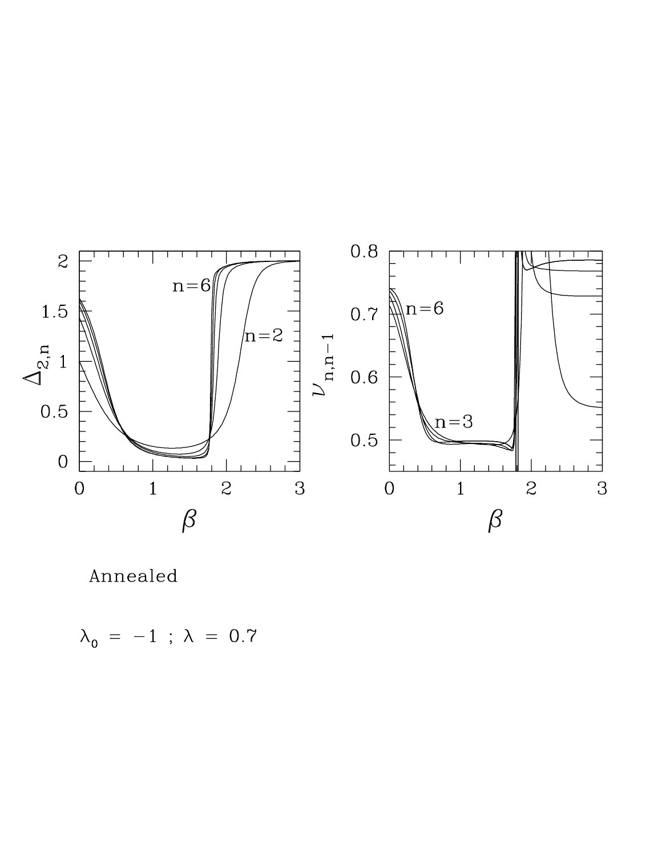

Annealed

$$
\lambda_0 = -1 \ ; \ \lambda = 0.7
$$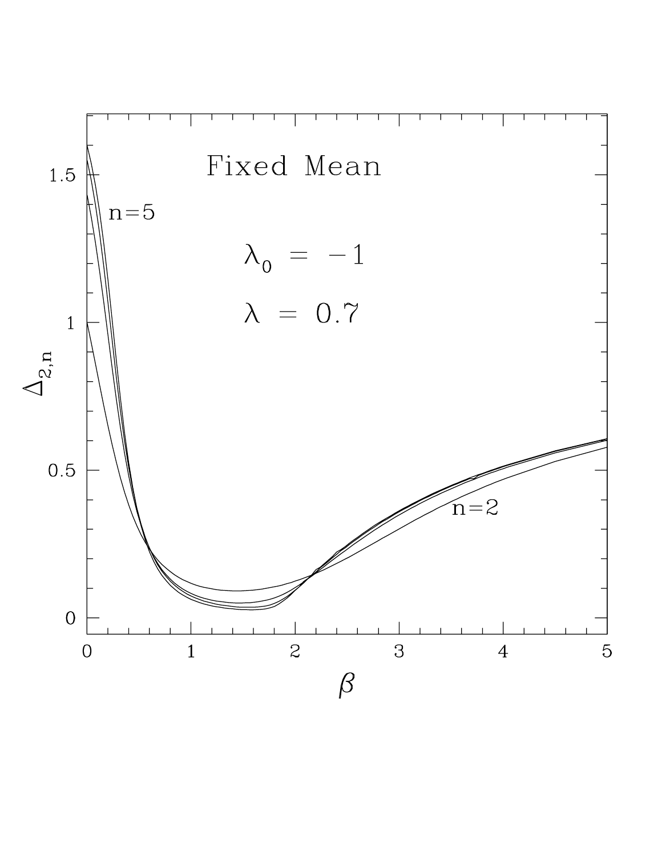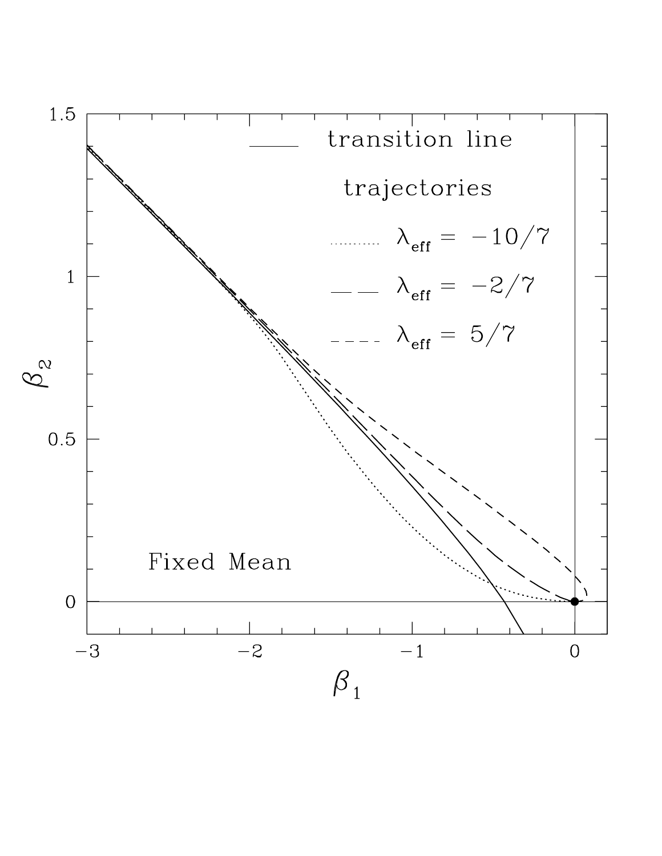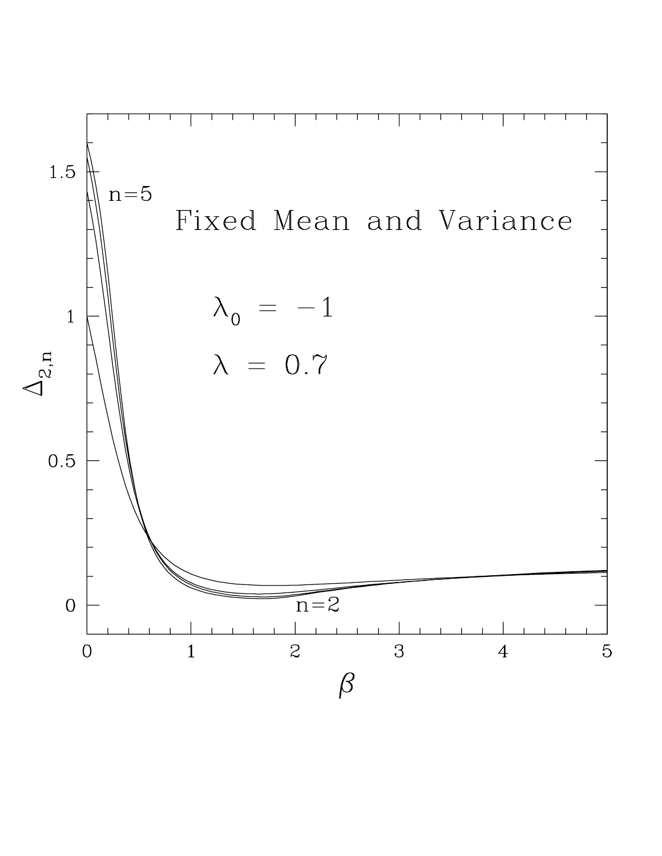